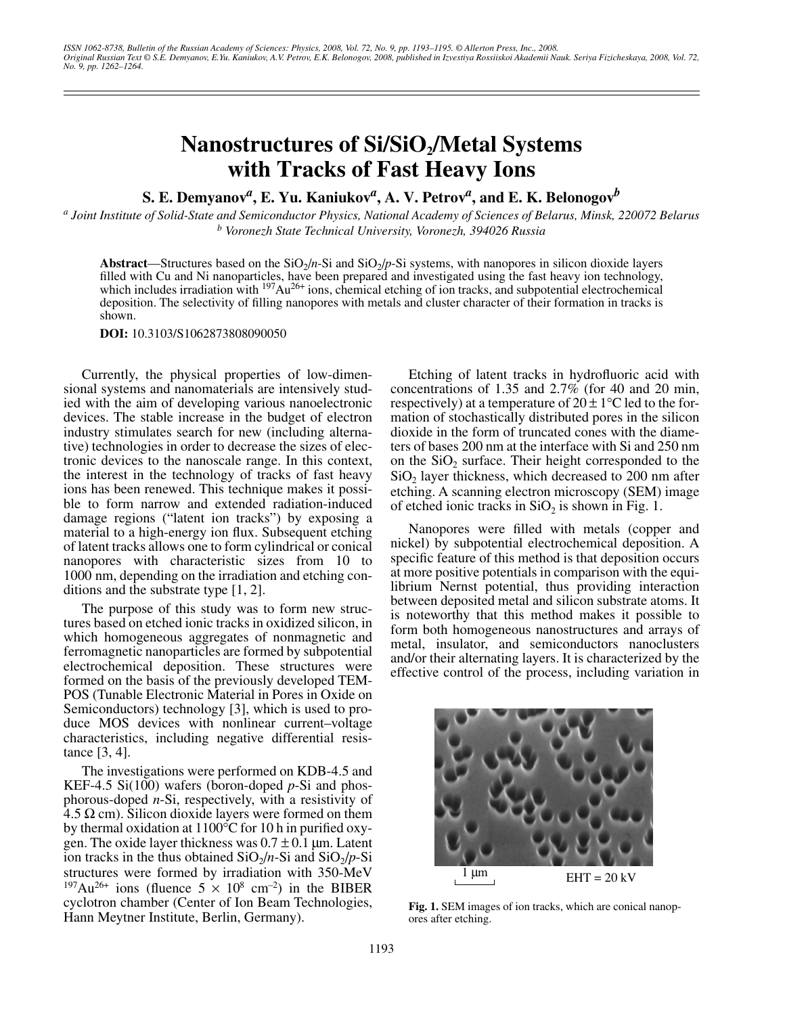## Nanostructures of Si/SiO<sub>2</sub>/Metal Systems **with Tracks of Fast Heavy Ions**

**S. E. Demyanov<sup>***a***</sup>, <b>E.** Yu. Kaniukov<sup>*a*</sup>, A. V. Petrov<sup>*a*</sup>, and **E.** K. Belonogov<sup>*b*</sup>

*a Joint Institute of Solid-State and Semiconductor Physics, National Academy of Sciences of Belarus, Minsk, 220072 Belarus b Voronezh State Technical University, Voronezh, 394026 Russia*

**Abstract—Structures based on the**  $SiO<sub>2</sub>/n-Si$  **and**  $SiO<sub>2</sub>/p-Si$  **systems, with nanopores in silicon dioxide layers** filled with Cu and Ni nanoparticles, have been prepared and investigated using the fast heavy ion technology, which includes irradiation with <sup>197</sup>Au<sup>26+</sup> ions, chemical etching of ion tracks, and subpotential electrochemical deposition. The selectivity of filling nanopores with metals and cluster character of their formation in tracks is shown.

**DOI:** 10.3103/S1062873808090050

Currently, the physical properties of low-dimensional systems and nanomaterials are intensively studied with the aim of developing various nanoelectronic devices. The stable increase in the budget of electron industry stimulates search for new (including alternative) technologies in order to decrease the sizes of electronic devices to the nanoscale range. In this context, the interest in the technology of tracks of fast heavy ions has been renewed. This technique makes it possible to form narrow and extended radiation-induced damage regions ("latent ion tracks") by exposing a material to a high-energy ion flux. Subsequent etching of latent tracks allows one to form cylindrical or conical nanopores with characteristic sizes from 10 to 1000 nm, depending on the irradiation and etching conditions and the substrate type [1, 2].

The purpose of this study was to form new structures based on etched ionic tracks in oxidized silicon, in which homogeneous aggregates of nonmagnetic and ferromagnetic nanoparticles are formed by subpotential electrochemical deposition. These structures were formed on the basis of the previously developed TEM-POS (Tunable Electronic Material in Pores in Oxide on Semiconductors) technology [3], which is used to produce MOS devices with nonlinear current–voltage characteristics, including negative differential resistance [3, 4].

The investigations were performed on KDB-4.5 and KEF-4.5 Si(100) wafers (boron-doped *p*-Si and phosphorous-doped *n*-Si, respectively, with a resistivity of 4.5 Ω cm). Silicon dioxide layers were formed on them by thermal oxidation at 1100°C for 10 h in purified oxygen. The oxide layer thickness was  $0.7 \pm 0.1$  µm. Latent ion tracks in the thus obtained  $SiO<sub>2</sub>/n-Si$  and  $SiO<sub>2</sub>/p-Si$ structures were formed by irradiation with 350-MeV <sup>197</sup>Au<sup>26+</sup> ions (fluence  $5 \times 10^8$  cm<sup>-2</sup>) in the BIBER cyclotron chamber (Center of Ion Beam Technologies, Hann Meytner Institute, Berlin, Germany).

Etching of latent tracks in hydrofluoric acid with concentrations of 1.35 and 2.7% (for 40 and 20 min, respectively) at a temperature of  $20 \pm 1$ °C led to the formation of stochastically distributed pores in the silicon dioxide in the form of truncated cones with the diameters of bases 200 nm at the interface with Si and 250 nm on the  $SiO<sub>2</sub>$  surface. Their height corresponded to the  $SiO<sub>2</sub>$  layer thickness, which decreased to 200 nm after etching. A scanning electron microscopy (SEM) image of etched ionic tracks in  $SiO<sub>2</sub>$  is shown in Fig. 1.

Nanopores were filled with metals (copper and nickel) by subpotential electrochemical deposition. A specific feature of this method is that deposition occurs at more positive potentials in comparison with the equilibrium Nernst potential, thus providing interaction between deposited metal and silicon substrate atoms. It is noteworthy that this method makes it possible to form both homogeneous nanostructures and arrays of metal, insulator, and semiconductors nanoclusters and/or their alternating layers. It is characterized by the effective control of the process, including variation in



**Fig. 1.** SEM images of ion tracks, which are conical nanopores after etching.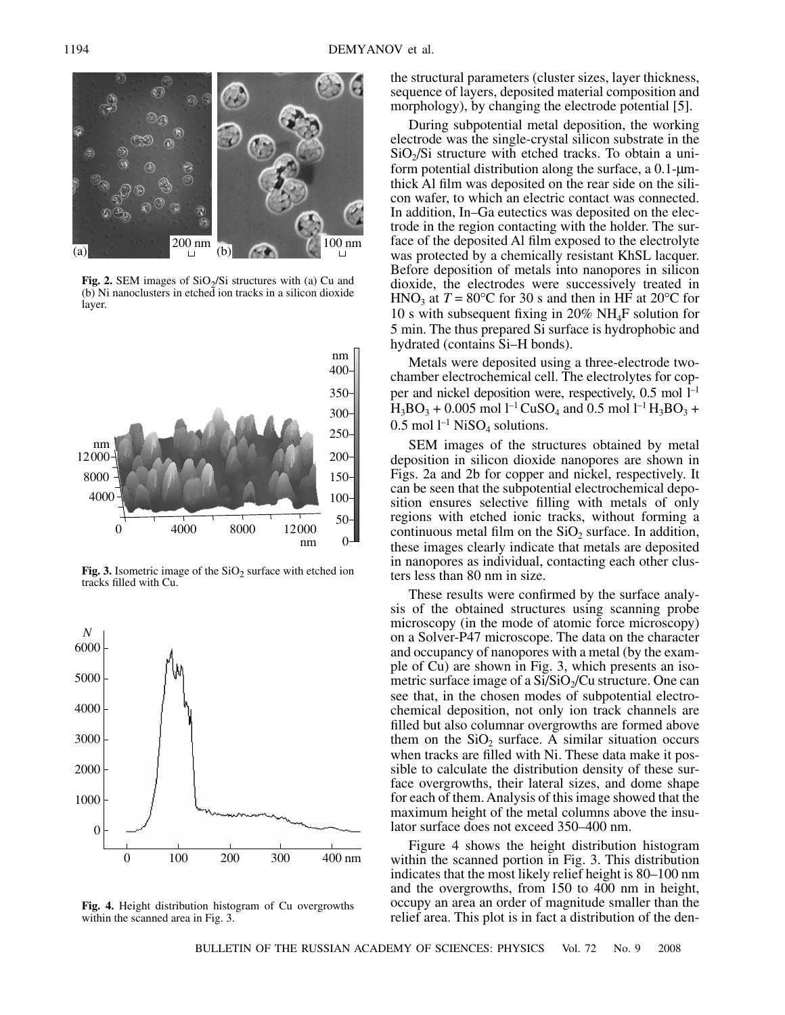

**Fig. 2.** SEM images of SiO<sub>2</sub>/Si structures with (a) Cu and (b) Ni nanoclusters in etched ion tracks in a silicon dioxide layer.



**Fig. 3.** Isometric image of the  $SiO<sub>2</sub>$  surface with etched ion tracks filled with Cu.



**Fig. 4.** Height distribution histogram of Cu overgrowths within the scanned area in Fig. 3.

the structural parameters (cluster sizes, layer thickness, sequence of layers, deposited material composition and morphology), by changing the electrode potential [5].

During subpotential metal deposition, the working electrode was the single-crystal silicon substrate in the  $SiO<sub>2</sub>/Si$  structure with etched tracks. To obtain a uniform potential distribution along the surface, a  $0.1$ - $\mu$ mthick Al film was deposited on the rear side on the silicon wafer, to which an electric contact was connected. In addition, In–Ga eutectics was deposited on the electrode in the region contacting with the holder. The surface of the deposited Al film exposed to the electrolyte was protected by a chemically resistant KhSL lacquer. Before deposition of metals into nanopores in silicon dioxide, the electrodes were successively treated in HNO<sub>3</sub> at  $T = 80^{\circ}$ C for 30 s and then in HF at 20<sup>o</sup>C for 10 s with subsequent fixing in 20% NH4F solution for 5 min. The thus prepared Si surface is hydrophobic and hydrated (contains Si–H bonds).

Metals were deposited using a three-electrode twochamber electrochemical cell. The electrolytes for copper and nickel deposition were, respectively,  $0.5 \text{ mol } l^{-1}$  $H_3BO_3 + 0.005$  mol  $1^{-1}CuSO_4$  and 0.5 mol  $1^{-1}H_3BO_3 +$  $0.5$  mol  $1^{-1}$  NiSO<sub>4</sub> solutions.

SEM images of the structures obtained by metal deposition in silicon dioxide nanopores are shown in Figs. 2a and 2b for copper and nickel, respectively. It can be seen that the subpotential electrochemical deposition ensures selective filling with metals of only regions with etched ionic tracks, without forming a continuous metal film on the  $SiO<sub>2</sub>$  surface. In addition, these images clearly indicate that metals are deposited in nanopores as individual, contacting each other clusters less than 80 nm in size.

These results were confirmed by the surface analysis of the obtained structures using scanning probe microscopy (in the mode of atomic force microscopy) on a Solver-P47 microscope. The data on the character and occupancy of nanopores with a metal (by the example of Cu) are shown in Fig. 3, which presents an isometric surface image of a  $Si/SiO<sub>2</sub>/Cu$  structure. One can see that, in the chosen modes of subpotential electrochemical deposition, not only ion track channels are filled but also columnar overgrowths are formed above them on the  $SiO<sub>2</sub>$  surface. A similar situation occurs when tracks are filled with Ni. These data make it possible to calculate the distribution density of these surface overgrowths, their lateral sizes, and dome shape for each of them. Analysis of this image showed that the maximum height of the metal columns above the insulator surface does not exceed 350–400 nm.

Figure 4 shows the height distribution histogram within the scanned portion in Fig. 3. This distribution indicates that the most likely relief height is 80–100 nm and the overgrowths, from 150 to 400 nm in height, occupy an area an order of magnitude smaller than the relief area. This plot is in fact a distribution of the den